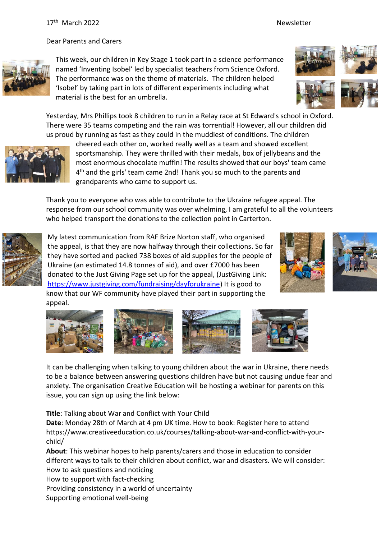Dear Parents and Carers



This week, our children in Key Stage 1 took part in a science performance named 'Inventing Isobel' led by specialist teachers from Science Oxford. The performance was on the theme of materials. The children helped 'Isobel' by taking part in lots of different experiments including what material is the best for an umbrella.

Yesterday, Mrs Phillips took 8 children to run in a Relay race at St Edward's school in Oxford. There were 35 teams competing and the rain was torrential! However, all our children did us proud by running as fast as they could in the muddiest of conditions. The children



cheered each other on, worked really well as a team and showed excellent sportsmanship. They were thrilled with their medals, box of jellybeans and the most enormous chocolate muffin! The results showed that our boys' team came 4 th and the girls' team came 2nd! Thank you so much to the parents and grandparents who came to support us.

Thank you to everyone who was able to contribute to the Ukraine refugee appeal. The response from our school community was over whelming, I am grateful to all the volunteers who helped transport the donations to the collection point in Carterton.



My latest communication from RAF Brize Norton staff, who organised the appeal, is that they are now halfway through their collections. So far they have sorted and packed 738 boxes of aid supplies for the people of Ukraine (an estimated 14.8 tonnes of aid), and over £7000 has been donated to the Just Giving Page set up for the appeal, (JustGiving Link: [https://www.justgiving.com/fundraising/dayforukraine\)](https://www.justgiving.com/fundraising/dayforukraine) It is good to know that our WF community have played their part in supporting the appeal.













It can be challenging when talking to young children about the war in Ukraine, there needs to be a balance between answering questions children have but not causing undue fear and anxiety. The organisation Creative Education will be hosting a webinar for parents on this issue, you can sign up using the link below:

**Title**: Talking about War and Conflict with Your Child

**Date**: Monday 28th of March at 4 pm UK time. How to book: Register here to attend https://www.creativeeducation.co.uk/courses/talking-about-war-and-conflict-with-yourchild/

**About**: This webinar hopes to help parents/carers and those in education to consider different ways to talk to their children about conflict, war and disasters. We will consider: How to ask questions and noticing

How to support with fact-checking

Providing consistency in a world of uncertainty

Supporting emotional well-being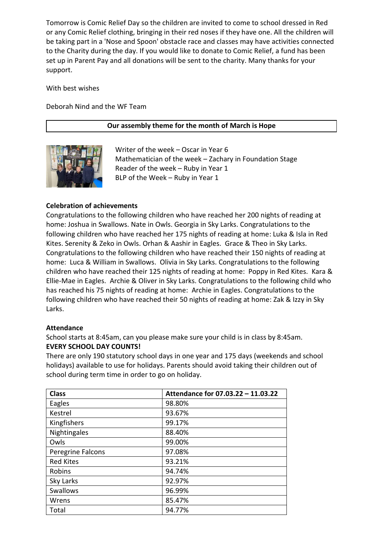Tomorrow is Comic Relief Day so the children are invited to come to school dressed in Red or any Comic Relief clothing, bringing in their red noses if they have one. All the children will be taking part in a 'Nose and Spoon' obstacle race and classes may have activities connected to the Charity during the day. If you would like to donate to Comic Relief, a fund has been set up in Parent Pay and all donations will be sent to the charity. Many thanks for your support.

With best wishes

Deborah Nind and the WF Team

# **Our assembly theme for the month of March is Hope**



Writer of the week – Oscar in Year 6 Mathematician of the week – Zachary in Foundation Stage Reader of the week – Ruby in Year 1 BLP of the Week – Ruby in Year 1

## **Celebration of achievements**

Congratulations to the following children who have reached her 200 nights of reading at home: Joshua in Swallows. Nate in Owls. Georgia in Sky Larks. Congratulations to the following children who have reached her 175 nights of reading at home: Luka & Isla in Red Kites. Serenity & Zeko in Owls. Orhan & Aashir in Eagles. Grace & Theo in Sky Larks. Congratulations to the following children who have reached their 150 nights of reading at home: Luca & William in Swallows. Olivia in Sky Larks. Congratulations to the following children who have reached their 125 nights of reading at home: Poppy in Red Kites. Kara & Ellie-Mae in Eagles. Archie & Oliver in Sky Larks. Congratulations to the following child who has reached his 75 nights of reading at home: Archie in Eagles. Congratulations to the following children who have reached their 50 nights of reading at home: Zak & Izzy in Sky Larks.

## **Attendance**

School starts at 8:45am, can you please make sure your child is in class by 8:45am. **EVERY SCHOOL DAY COUNTS!**

There are only 190 statutory school days in one year and 175 days (weekends and school holidays) available to use for holidays. Parents should avoid taking their children out of school during term time in order to go on holiday.

| <b>Class</b>             | Attendance for 07.03.22 - 11.03.22 |
|--------------------------|------------------------------------|
| Eagles                   | 98.80%                             |
| Kestrel                  | 93.67%                             |
| Kingfishers              | 99.17%                             |
| Nightingales             | 88.40%                             |
| Owls                     | 99.00%                             |
| <b>Peregrine Falcons</b> | 97.08%                             |
| <b>Red Kites</b>         | 93.21%                             |
| Robins                   | 94.74%                             |
| Sky Larks                | 92.97%                             |
| Swallows                 | 96.99%                             |
| Wrens                    | 85.47%                             |
| Total                    | 94.77%                             |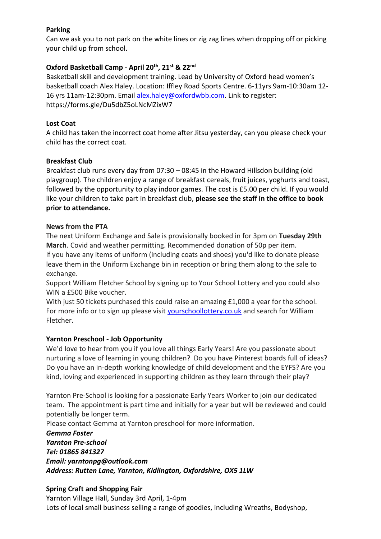# **Parking**

Can we ask you to not park on the white lines or zig zag lines when dropping off or picking your child up from school.

# **Oxford Basketball Camp - April 20th, 21st & 22nd**

Basketball skill and development training. Lead by University of Oxford head women's basketball coach Alex Haley. Location: Iffley Road Sports Centre. 6-11yrs 9am-10:30am 12 16 yrs 11am-12:30pm. Email [alex.haley@oxfordwbb.com.](mailto:alex.haley@oxfordwbb.com) Link to register: https://forms.gle/Du5dbZ5oLNcMZixW7

# **Lost Coat**

A child has taken the incorrect coat home after Jitsu yesterday, can you please check your child has the correct coat.

# **Breakfast Club**

Breakfast club runs every day from 07:30 – 08:45 in the Howard Hillsdon building (old playgroup). The children enjoy a range of breakfast cereals, fruit juices, yoghurts and toast, followed by the opportunity to play indoor games. The cost is £5.00 per child. If you would like your children to take part in breakfast club, **please see the staff in the office to book prior to attendance.**

# **News from the PTA**

The next Uniform Exchange and Sale is provisionally booked in for 3pm on **Tuesday 29th March**. Covid and weather permitting. Recommended donation of 50p per item. If you have any items of uniform (including coats and shoes) you'd like to donate please leave them in the Uniform Exchange bin in reception or bring them along to the sale to exchange.

Support William Fletcher School by signing up to Your School Lottery and you could also WIN a £500 Bike voucher.

With just 50 tickets purchased this could raise an amazing £1,000 a year for the school. For more info or to sign up please visit [yourschoollottery.co.uk](http://yourschoollottery.co.uk/) and search for William Fletcher.

# **Yarnton Preschool - Job Opportunity**

We'd love to hear from you if you love all things Early Years! Are you passionate about nurturing a love of learning in young children? Do you have Pinterest boards full of ideas? Do you have an in-depth working knowledge of child development and the EYFS? Are you kind, loving and experienced in supporting children as they learn through their play?

Yarnton Pre-School is looking for a passionate Early Years Worker to join our dedicated team. The appointment is part time and initially for a year but will be reviewed and could potentially be longer term.

Please contact Gemma at Yarnton preschool for more information.

*Gemma Foster Yarnton Pre-school Tel: 01865 841327 Email: yarntonpg@outlook.com Address: Rutten Lane, Yarnton, Kidlington, Oxfordshire, OX5 1LW*

# **Spring Craft and Shopping Fair**

Yarnton Village Hall, Sunday 3rd April, 1-4pm Lots of local small business selling a range of goodies, including Wreaths, Bodyshop,